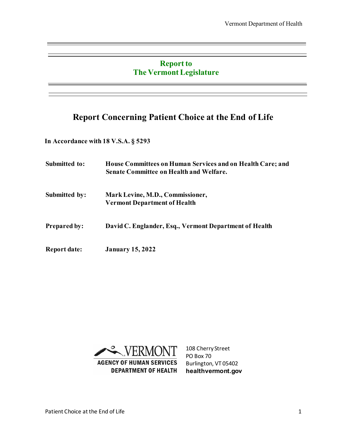### **Report to The Vermont Legislature**

## **Report Concerning Patient Choice at the End of Life**

**In Accordance with 18 V.S.A. § 5293**

**Submitted to: House Committees on Human Services and on Health Care; and Senate Committee on Health and Welfare. Submitted by: Mark Levine, M.D., Commissioner, Vermont Department of Health Prepared by: David C. Englander, Esq., Vermont Department of Health Report date: January 15, 2022**



108 Cherry Street PO Box 70 Burlington, VT 05402 **healthvermont.gov**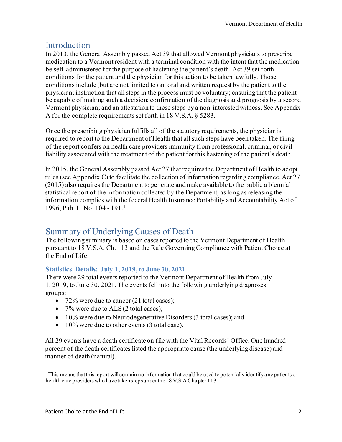### Introduction

In 2013, the General Assembly passed Act 39 that allowed Vermont physicians to prescribe medication to a Vermont resident with a terminal condition with the intent that the medication be self-administered for the purpose of hastening the patient's death. Act 39 set forth conditions for the patient and the physician for this action to be taken lawfully. Those conditions include (but are not limited to) an oral and written request by the patient to the physician; instruction that all steps in the process must be voluntary; ensuring that the patient be capable of making such a decision; confirmation of the diagnosis and prognosis by a second Vermont physician; and an attestation to these steps by a non-interested witness. See Appendix A for the complete requirements set forth in 18 V.S.A. § 5283.

Once the prescribing physician fulfills all of the statutory requirements, the physician is required to report to the Department of Health that all such steps have been taken. The filing of the report confers on health care providers immunity from professional, criminal, or civil liability associated with the treatment of the patient for this hastening of the patient's death.

In 2015, the General Assembly passed Act 27 that requires the Department of Health to adopt rules (see Appendix C) to facilitate the collection of information regarding compliance. Act 27 (2015) also requires the Department to generate and make available to the public a biennial statistical report of the information collected by the Department, as long as releasing the information complies with the federal Health Insurance Portability and Accountability Act of 1996, Pub. L. No. 104 - 19[1.1](#page-1-0)

## Summary of Underlying Causes of Death

The following summary is based on cases reported to the Vermont Department of Health pursuant to 18 V.S.A. Ch. 113 and the Rule Governing Compliance with Patient Choice at the End of Life.

#### **Statistics Details: July 1, 2019, to June 30, 2021**

There were 29 total events reported to the Vermont Department of Health from July 1, 2019, to June 30, 2021.The events fell into the following underlying diagnoses groups:

- 72% were due to cancer (21 total cases);
- 7% were due to ALS (2 total cases);
- 10% were due to Neurodegenerative Disorders (3 total cases); and
- 10% were due to other events (3 total case).

All 29 events have a death certificate on file with the Vital Records' Office. One hundred percent of the death certificates listed the appropriate cause (the underlying disease) and manner of death (natural).

<span id="page-1-0"></span> $1$  This means that this report will contain no information that could be used to potentially identify any patients or health care providers who havetakenstepsunderthe 18 V.S.AChapter 113.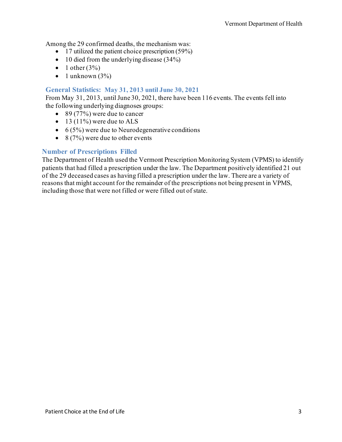Among the 29 confirmed deaths, the mechanism was:

- 17 utilized the patient choice prescription (59%)
- $\bullet$  10 died from the underlying disease (34%)
- $\bullet$  1 other (3%)
- 1 unknown  $(3\%)$

#### **General Statistics: May 31, 2013 until June 30, 2021**

From May 31, 2013, until June 30, 2021, there have been 116 events. The events fell into the following underlying diagnoses groups:

- 89 (77%) were due to cancer
- 13 (11%) were due to ALS
- $\bullet$  6 (5%) were due to Neurodegenerative conditions
- 8 (7%) were due to other events

#### **Number of Prescriptions Filled**

The Department of Health used the Vermont Prescription Monitoring System (VPMS) to identify patients that had filled a prescription under the law. The Department positively identified 21 out of the 29 deceased cases as having filled a prescription under the law. There are a variety of reasons that might account for the remainder of the prescriptions not being present in VPMS, including those that were not filled or were filled out of state.